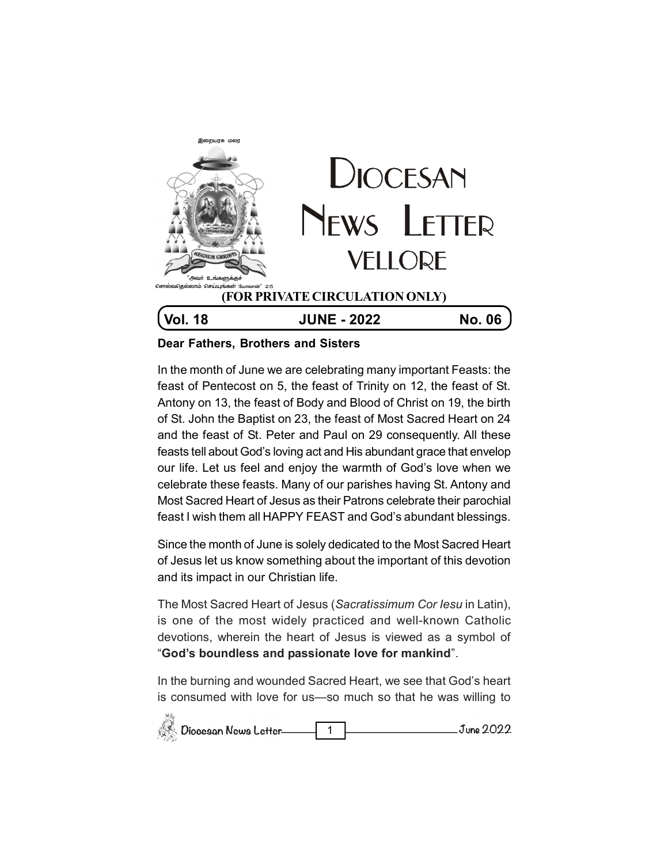

## **Dear Fathers, Brothers and Sisters**

In the month of June we are celebrating many important Feasts: the feast of Pentecost on 5, the feast of Trinity on 12, the feast of St. Antony on 13, the feast of Body and Blood of Christ on 19, the birth of St. John the Baptist on 23, the feast of Most Sacred Heart on 24 and the feast of St. Peter and Paul on 29 consequently. All these feasts tell about God's loving act and His abundant grace that envelop our life. Let us feel and enjoy the warmth of God's love when we celebrate these feasts. Many of our parishes having St. Antony and Most Sacred Heart of Jesus as their Patrons celebrate their parochial feast I wish them all HAPPY FEAST and God's abundant blessings.

Since the month of June is solely dedicated to the Most Sacred Heart of Jesus let us know something about the important of this devotion and its impact in our Christian life.

The Most Sacred Heart of Jesus (*Sacratissimum Cor Iesu* in Latin), is one of the most widely practiced and well-known Catholic devotions, wherein the heart of Jesus is viewed as a symbol of "**God's boundless and passionate love for mankind**".

In the burning and wounded Sacred Heart, we see that God's heart is consumed with love for us—so much so that he was willing to

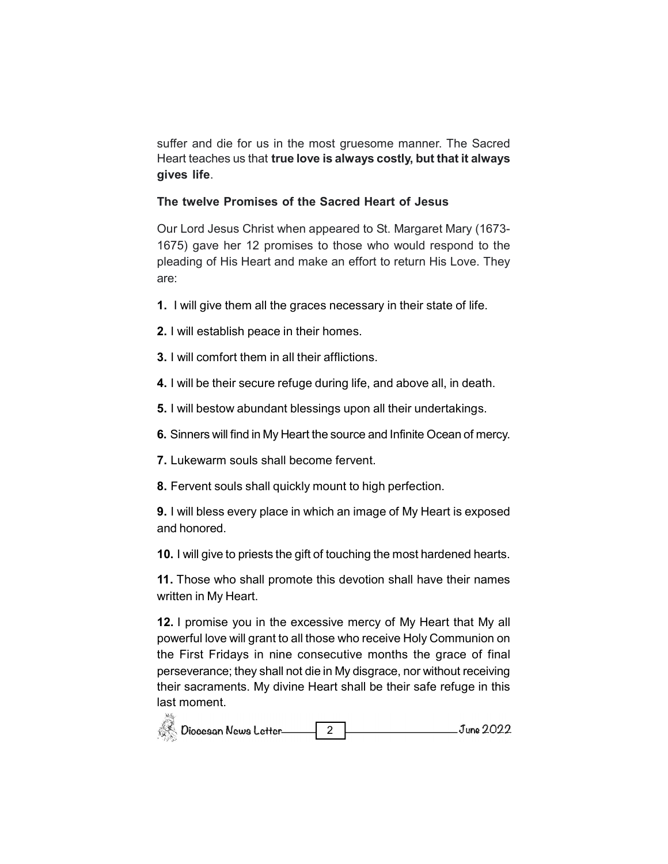suffer and die for us in the most gruesome manner. The Sacred Heart teaches us that **true love is always costly, but that it always gives life**.

## **The twelve Promises of the Sacred Heart of Jesus**

Our Lord Jesus Christ when appeared to St. Margaret Mary (1673- 1675) gave her 12 promises to those who would respond to the pleading of His Heart and make an effort to return His Love. They are:

- **1.** I will give them all the graces necessary in their state of life.
- **2.** I will establish peace in their homes.
- **3.** I will comfort them in all their afflictions.
- **4.** I will be their secure refuge during life, and above all, in death.
- **5.** I will bestow abundant blessings upon all their undertakings.
- **6.** Sinners will find in My Heart the source and Infinite Ocean of mercy.
- **7.** Lukewarm souls shall become fervent.
- **8.** Fervent souls shall quickly mount to high perfection.

**9.** I will bless every place in which an image of My Heart is exposed and honored.

**10.** I will give to priests the gift of touching the most hardened hearts.

**11.** Those who shall promote this devotion shall have their names written in My Heart.

**12.** I promise you in the excessive mercy of My Heart that My all powerful love will grant to all those who receive Holy Communion on the First Fridays in nine consecutive months the grace of final perseverance; they shall not die in My disgrace, nor without receiving their sacraments. My divine Heart shall be their safe refuge in this last moment. $\overline{\mathcal{R}}$ 

| Diocesan News Letter | June 2022 |
|----------------------|-----------|
|----------------------|-----------|